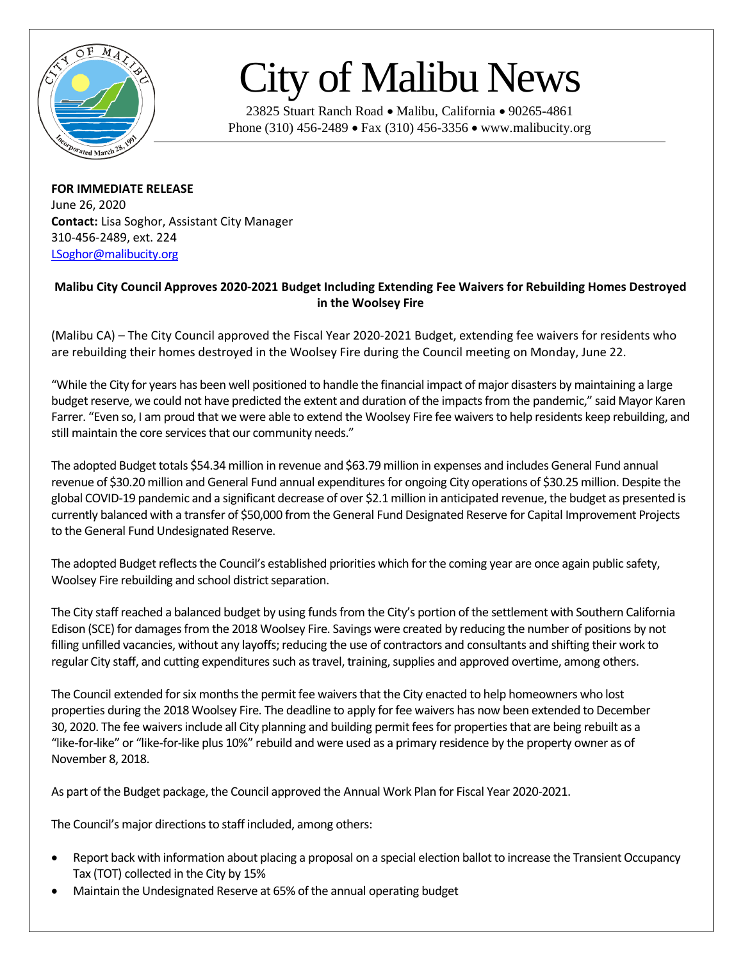

## City of Malibu News

23825 Stuart Ranch Road • Malibu, California • 90265-4861 Phone (310) 456-2489 • Fax (310) 456-3356 • www.malibucity.org

**FOR IMMEDIATE RELEASE** June 26, 2020 **Contact:** Lisa Soghor, Assistant City Manager 310-456-2489, ext. 224 [LSoghor@malibucity.org](mailto:LSoghor@malibucity.org)

## **Malibu City Council Approves 2020-2021 Budget Including Extending Fee Waivers for Rebuilding Homes Destroyed in the Woolsey Fire**

(Malibu CA) – The City Council approved the Fiscal Year 2020-2021 Budget, extending fee waivers for residents who are rebuilding their homes destroyed in the Woolsey Fire during the Council meeting on Monday, June 22.

"While the City for years has been well positioned to handle the financial impact of major disasters by maintaining a large budget reserve, we could not have predicted the extent and duration of the impacts from the pandemic," said Mayor Karen Farrer. "Even so, I am proud that we were able to extend the Woolsey Fire fee waivers to help residents keep rebuilding, and still maintain the core services that our community needs."

The adopted Budget totals \$54.34 million in revenue and \$63.79 million in expenses and includes General Fund annual revenue of \$30.20 million and General Fund annual expenditures for ongoing City operations of \$30.25 million. Despite the global COVID-19 pandemic and a significant decrease of over \$2.1 million in anticipated revenue, the budget as presented is currently balanced with a transfer of \$50,000 from the General Fund Designated Reserve for Capital Improvement Projects to the General Fund Undesignated Reserve.

The adopted Budget reflects the Council's established priorities which for the coming year are once again public safety, Woolsey Fire rebuilding and school district separation.

The City staff reached a balanced budget by using funds from the City's portion of the settlement with Southern California Edison (SCE) for damages from the 2018 Woolsey Fire. Savings were created by reducing the number of positions by not filling unfilled vacancies, without any layoffs; reducing the use of contractors and consultants and shifting their work to regular City staff, and cutting expenditures such as travel, training, supplies and approved overtime, among others.

The Council extended for six months the permit fee waivers that the City enacted to help homeowners who lost properties during the 2018 Woolsey Fire. The deadline to apply for fee waivers has now been extended to December 30, 2020. The fee waivers include all City planning and building permit fees for properties that are being rebuilt as a "like-for-like" or "like-for-like plus 10%" rebuild and were used as a primary residence by the property owner as of November 8, 2018.

As part of the Budget package, the Council approved the Annual Work Plan for Fiscal Year 2020-2021.

The Council's major directions to staff included, among others:

- Report back with information about placing a proposal on a special election ballot to increase the Transient Occupancy Tax (TOT) collected in the City by 15%
- Maintain the Undesignated Reserve at 65% of the annual operating budget